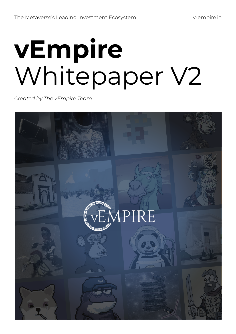# **vEmpire** Whitepaper V2

*Created by The vEmpire Team*

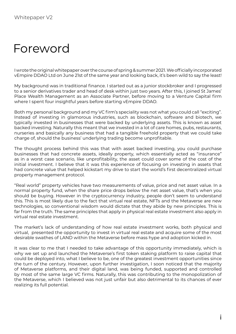### Foreword

I wrote the original whitepaper over the course of spring & summer 2021. We officially incorporated vEmpire DDAO Ltd on June 21st of the same year and looking back, it's been wild to say the least!

My background was in traditional finance. I started out as a junior stockbroker and I progressed to a senior derivatives trader and head of desk within just two years. After this, I joined St James' Place Wealth Management as an Associate Partner, before moving to a Venture Capital firm where I spent four insightful years before starting vEmpire DDAO.

Both my personal background and my VC firm's speciality was not what you could call "exciting". Instead of investing in glamorous industries, such as blockchain, software and biotech, we typically invested in businesses that were backed by underlying assets. This is known as asset backed investing. Naturally this meant that we invested in a lot of care homes, pubs, restaurants, nurseries and basically any business that had a tangible freehold property that we could take charge of, should the business' underlying trading become unprofitable.

The thought process behind this was that with asset backed investing, you could purchase businesses that had concrete assets, ideally property, which essentially acted as "insurance" as in a worst case scenario, like unprofitability, the asset could cover some of the cost of the initial investment. I believe that it was this experience of focusing on investing in assets that had concrete value that helped kickstart my drive to start the world's first decentralized virtual property management protocol.

"Real world" property vehicles have two measurements of value, price and net asset value. In a normal property fund, when the share price drops below the net asset value, that's when you should be buying. However in the cryptocurrency industry, people don't seem to understand this. This is most likely due to the fact that virtual real estate, NFTs and the Metaverse are new technologies, so conventional wisdom would dictate that they abide by new principles. This is far from the truth. The same principles that apply in physical real estate investment also apply in virtual real estate investment.

The market's lack of understanding of how real estate investment works, both physical and virtual, presented the opportunity to invest in virtual real estate and acquire some of the most desirable swathes of LAND within the Metaverse before mass hype and adoption kicked in.

It was clear to me that I needed to take advantage of this opportunity immediately, which is why we set up and launched the Metaverse's first token staking platform to raise capital that could be deployed into, what I believe to be, one of the greatest investment opportunities since the turn of the century. However, upon further investigation, I soon noticed that the majority of Metaverse platforms, and their digital land, was being funded, supported and controlled by most of the same large VC firms. Naturally, this was contributing to the monopolization of the Metaverse, which I believed was not just unfair but also detrimental to its chances of ever realizing its full potential.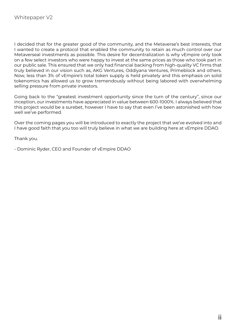I decided that for the greater good of the community, and the Metaverse's best interests, that I wanted to create a protocol that enabled the community to retain as much control over our Metaverseal investments as possible. This desire for decentralization is why vEmpire only took on a few select investors who were happy to invest at the same prices as those who took part in our public sale. This ensured that we only had financial backing from high-quality VC firms that truly believed in our vision such as, AKG Ventures, Oddiyana Ventures, Primeblock and others. Now, less than 3% of vEmpire's total token supply is held privately and this emphasis on solid tokenomics has allowed us to grow tremendously without being labored with overwhelming selling pressure from private investors.

Going back to the "greatest investment opportunity since the turn of the century", since our inception, our investments have appreciated in value between 600-1000%. I always believed that this project would be a surebet, however I have to say that even I've been astonished with how well we've performed.

Over the coming pages you will be introduced to exactly the project that we've evolved into and I have good faith that you too will truly believe in what we are building here at vEmpire DDAO.

Thank you.

- Dominic Ryder, CEO and Founder of vEmpire DDAO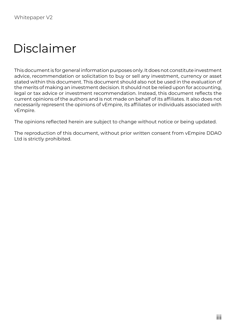# Disclaimer

This document is for general information purposes only. It does not constitute investment advice, recommendation or solicitation to buy or sell any investment, currency or asset stated within this document. This document should also not be used in the evaluation of the merits of making an investment decision. It should not be relied upon for accounting, legal or tax advice or investment recommendation. Instead, this document reflects the current opinions of the authors and is not made on behalf of its affiliates. It also does not necessarily represent the opinions of vEmpire, its affiliates or individuals associated with vEmpire.

The opinions reflected herein are subject to change without notice or being updated.

The reproduction of this document, without prior written consent from vEmpire DDAO Ltd is strictly prohibited.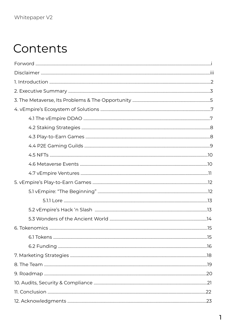## Contents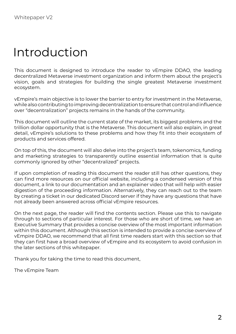### Introduction

This document is designed to introduce the reader to vEmpire DDAO, the leading decentralized Metaverse investment organization and inform them about the project's vision, goals and strategies for building the single greatest Metaverse investment ecosystem.

vEmpire's main objective is to lower the barrier to entry for investment in the Metaverse, while also contributing to improving decentralization to ensure that control and influence over "decentralization" projects remains in the hands of the community.

This document will outline the current state of the market, its biggest problems and the trillion dollar opportunity that is the Metaverse. This document will also explain, in great detail, vEmpire's solutions to these problems and how they fit into their ecosystem of products and services offered.

On top of this, the document will also delve into the project's team, tokenomics, funding and marketing strategies to transparently outline essential information that is quite commonly ignored by other "decentralized" projects.

If upon completion of reading this document the reader still has other questions, they can find more resources on our official website, including a condensed version of this document, a link to our documentation and an explainer video that will help with easier digestion of the proceeding information. Alternatively, they can reach out to the team by creating a ticket in our dedicated Discord server if they have any questions that have not already been answered across official vEmpire resources.

On the next page, the reader will find the contents section. Please use this to navigate through to sections of particular interest. For those who are short of time, we have an Executive Summary that provides a concise overview of the most important information within this document. Although this section is intended to provide a concise overview of vEmpire DDAO, we recommend that all first time readers start with this section so that they can first have a broad overview of vEmpire and its ecosystem to avoid confusion in the later sections of this whitepaper.

Thank you for taking the time to read this document,

The vEmpire Team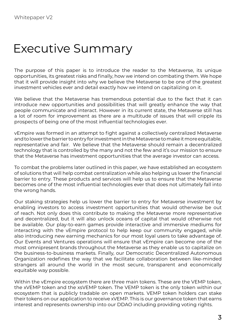### Executive Summary

The purpose of this paper is to introduce the reader to the Metaverse, its unique opportunities, its greatest risks and finally, how we intend on combating them. We hope that it will provide insight into why we believe the Metaverse to be one of the greatest investment vehicles ever and detail exactly how we intend on capitalizing on it.

We believe that the Metaverse has tremendous potential due to the fact that it can introduce new opportunities and possibilities that will greatly enhance the way that people communicate and interact. However in its current state, the Metaverse still has a lot of room for improvement as there are a multitude of issues that will cripple its prospects of being one of the most influential technologies ever.

vEmpire was formed in an attempt to fight against a collectively centralized Metaverse and to lower the barrier to entry for investment in the Metaverse to make it more equitable, representative and fair. We believe that the Metaverse should remain a decentralized technology that is controlled by the many and not the few and it's our mission to ensure that the Metaverse has investment opportunities that the average investor can access.

To combat the problems later outlined in this paper, we have established an ecosystem of solutions that will help combat centralization while also helping us lower the financial barrier to entry. These products and services will help us to ensure that the Metaverse becomes one of the most influential technologies ever that does not ultimately fall into the wrong hands.

Our staking strategies help us lower the barrier to entry for Metaverse investment by enabling investors to access investment opportunities that would otherwise be out of reach. Not only does this contribute to making the Metaverse more representative and decentralized, but it will also unlock oceans of capital that would otherwise not be available. Our play-to-earn games provide interactive and immersive mediums for interacting with the vEmpire protocol to help keep our community engaged, while also introducing new earning mechanics for our most loyal users to take advantage of. Our Events and Ventures operations will ensure that vEmpire can become one of the most omnipresent brands throughout the Metaverse as they enable us to capitalize on the business-to-business markets. Finally, our Democratic Decentralized Autonomous Organization redefines the way that we facilitate collaboration between like-minded strangers all around the world in the most secure, transparent and economically equitable way possible.

Within the vEmpire ecosystem there are three main tokens. These are the VEMP token, the xVEMP token and the xsVEMP token. The VEMP token is the only token within our ecosystem that is publicly tradable on open markets. VEMP token holders can stake their tokens on our application to receive xVEMP. This is our governance token that earns interest and represents ownership into our DDAO including providing voting rights.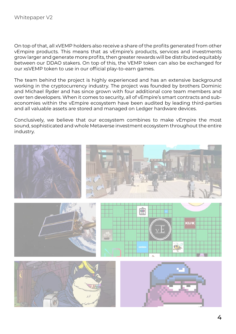On top of that, all xVEMP holders also receive a share of the profits generated from other vEmpire products. This means that as vEmpire's products, services and investments grow larger and generate more profits, then greater rewards will be distributed equitably between our DDAO stakers. On top of this, the VEMP token can also be exchanged for our xsVEMP token to use in our official play-to-earn games.

The team behind the project is highly experienced and has an extensive background working in the cryptocurrency industry. The project was founded by brothers Dominic and Michael Ryder and has since grown with four additional core team members and over ten developers. When it comes to security, all of vEmpire's smart contracts and subeconomies within the vEmpire ecosystem have been audited by leading third-parties and all valuable assets are stored and managed on Ledger hardware devices.

Conclusively, we believe that our ecosystem combines to make vEmpire the most sound, sophisticated and whole Metaverse investment ecosystem throughout the entire industry.

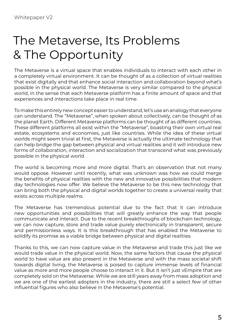# The Metaverse, Its Problems & The Opportunity

The Metaverse is a virtual space that enables individuals to interact with each other in a completely virtual environment. It can be thought of as a collection of virtual realities that exist digitally and that enhance social interaction and collaboration beyond what's possible in the physical world. The Metaverse is very similar compared to the physical world, in the sense that each Metaverse platform has a finite amount of space and that experiences and interactions take place in real time.

To make this entirely new concept easier to understand, let's use an analogy that everyone can understand. The "Metaverse", when spoken about collectively, can be thought of as the planet Earth. Different Metaverse platforms can be thought of as different countries. These different platforms all exist within the "Metaverse", boasting their own virtual real estate, ecosystems and economies, just like countries. While the idea of these virtual worlds might seem trivial at first, the Metaverse is actually the ultimate technology that can help bridge the gap between physical and virtual realities and it will introduce new forms of collaboration, interaction and socialization that transcend what was previously possible in the physical world.

The world is becoming more and more digital. That's an observation that not many would oppose. However until recently, what was unknown was how we could merge the benefits of physical realities with the new and innovative possibilities that modern day technologies now offer. We believe the Metaverse to be this new technology that can bring both the physical and digital worlds together to create a universal reality that exists across multiple realms.

The Metaverse has tremendous potential due to the fact that it can introduce new opportunities and possibilities that will greatly enhance the way that people communicate and interact. Due to the recent breakthroughs of blockchain technology, we can now capture, store and trade value purely electronically in transparent, secure and permissionless ways. It is this breakthrough that has enabled the Metaverse to solidify its promise as a viable bridge between physical and digital realities.

Thanks to this, we can now capture value in the Metaverse and trade this just like we would trade value in the physical world. Now, the same factors that cause the physical world to have value are also present in the Metaverse and with the mass societal shift towards digital living, the Metaverse is poised to capture immense levels of financial value as more and more people choose to interact in it. But it isn't just vEmpire that are completely sold on the Metaverse. While we are still years away from mass adoption and we are one of the earliest adopters in the industry, there are still a select few of other influential figures who also believe in the Metaverse's potential.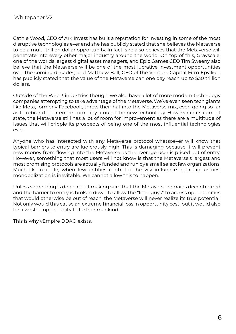Cathie Wood, CEO of Ark Invest has built a reputation for investing in some of the most disruptive technologies ever and she has publicly stated that she believes the Metaverse to be a multi-trillion dollar opportunity. In fact, she also believes that the Metaverse will penetrate into every other major industry around the world. On top of this, Grayscale, one of the worlds largest digital asset managers, and Epic Games CEO Tim Sweeny also believe that the Metaverse will be one of the most lucrative investment opportunities over the coming decades; and Matthew Ball, CEO of the Venture Capital Firm Epyllion, has publicly stated that the value of the Metaverse can one day reach up to \$30 trillion dollars.

Outside of the Web 3 industries though, we also have a lot of more modern technology companies attempting to take advantage of the Metaverse. We've even seen tech giants like Meta, formerly Facebook, throw their hat into the Metaverse mix, even going so far as to rebrand their entire company around the new technology. However in its current state, the Metaverse still has a lot of room for improvement as there are a multitude of issues that will cripple its prospects of being one of the most influential technologies ever.

Anyone who has interacted with any Metaverse protocol whatsoever will know that typical barriers to entry are ludicrously high. This is damaging because it will prevent new money from flowing into the Metaverse as the average user is priced out of entry. However, something that most users will not know is that the Metaverse's largest and most promising protocols are actually funded and run by a small select few organizations. Much like real life, when few entities control or heavily influence entire industries, monopolization is inevitable. We cannot allow this to happen.

Unless something is done about making sure that the Metaverse remains decentralized and the barrier to entry is broken down to allow the "little guys" to access opportunities that would otherwise be out of reach, the Metaverse will never realize its true potential. Not only would this cause an extreme financial loss in opportunity cost, but it would also be a wasted opportunity to further mankind.

This is why vEmpire DDAO exists.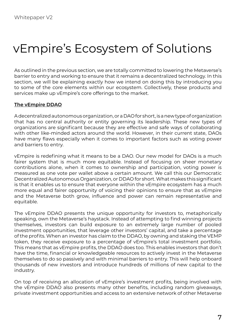# vEmpire's Ecosystem of Solutions

As outlined in the previous section, we are totally committed to lowering the Metaverse's barrier to entry and working to ensure that it remains a decentralized technology. In this section, we will be explaining exactly how we intend on doing this by introducing you to some of the core elements within our ecosystem. Collectively, these products and services make up vEmpire's core offerings to the market.

#### **The vEmpire DDAO**

A decentralized autonomous organization, or a DAO for short, is a new type of organization that has no central authority or entity governing its leadership. These new types of organizations are significant because they are effective and safe ways of collaborating with other like-minded actors around the world. However, in their current state, DAOs have many flaws especially when it comes to important factors such as voting power and barriers to entry.

vEmpire is redefining what it means to be a DAO. Our new model for DAOs is a much fairer system that is much more equitable. Instead of focusing on sheer monetary contributions alone, when it comes to ownership and participation, voting power is measured as one vote per wallet above a certain amount. We call this our Democratic Decentralized Autonomous Organization, or DDAO for short. What makes this significant is that it enables us to ensure that everyone within the vEmpire ecosystem has a much more equal and fairer opportunity of voicing their opinions to ensure that as vEmpire and the Metaverse both grow, influence and power can remain representative and equitable.

The vEmpire DDAO presents the unique opportunity for investors to, metaphorically speaking, own the Metaverse's haystack. Instead of attempting to find winning projects themselves, investors can build exposure to an extremely large number of pooled investment opportunities, that leverage other investors' capital, and take a percentage of the profits. When an investor has claim to the DDAO, by owning and staking the VEMP token, they receive exposure to a percentage of vEmpire's total investment portfolio. This means that as vEmpire profits, the DDAO does too. This enables investors that don't have the time, financial or knowledgeable resources to actively invest in the Metaverse themselves to do so passively and with minimal barriers to entry. This will help onboard thousands of new investors and introduce hundreds of millions of new capital to the industry.

On top of receiving an allocation of vEmpire's investment profits, being involved with the vEmpire DDAO also presents many other benefits, including random giveaways, private investment opportunities and access to an extensive network of other Metaverse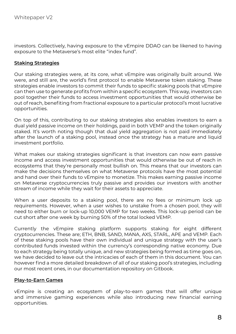investors. Collectively, having exposure to the vEmpire DDAO can be likened to having exposure to the Metaverse's most elite "index fund".

#### **Staking Strategies**

Our staking strategies were, at its core, what vEmpire was originally built around. We were, and still are, the world's first protocol to enable Metaverse token staking. These strategies enable investors to commit their funds to specific staking pools that vEmpire can then use to generate profits from within a specific ecosystem. This way, investors can pool together their funds to access investment opportunities that would otherwise be out of reach, benefiting from fractional exposure to a particular protocol's most lucrative opportunities.

On top of this, contributing to our staking strategies also enables investors to earn a dual yield passive income on their holdings, paid in both VEMP and the token originally staked. It's worth noting though that dual yield aggregation is not paid immediately after the launch of a staking pool, instead once the strategy has a mature and liquid investment portfolio.

What makes our staking strategies significant is that investors can now earn passive income and access investment opportunities that would otherwise be out of reach in ecosystems that they're personally most bullish on. This means that our investors can make the decisions themselves on what Metaverse protocols have the most potential and hand over their funds to vEmpire to monetize. This makes earning passive income on Metaverse cryptocurrencies truly passive and provides our investors with another stream of income while they wait for their assets to appreciate.

When a user deposits to a staking pool, there are no fees or minimum lock up requirements. However, when a user wishes to unstake from a chosen pool, they will need to either burn or lock-up 10,000 VEMP for two weeks. This lock-up period can be cut short after one week by burning 50% of the total locked VEMP.

Currently the vEmpire staking platform supports staking for eight different cryptocurrencies. These are; ETH, BNB, SAND, MANA, AXS, STARL, APE and VEMP. Each of these staking pools have their own individual and unique strategy with the user's contributed funds invested within the currency's corresponding native economy. Due to each strategy being totally unique, and new strategies being formed as time goes on, we have decided to leave out the intricacies of each of them in this document. You can however find a more detailed breakdown of all of our staking pool's strategies, including our most recent ones, in our documentation repository on Gitbook.

#### **Play-to-Earn Games**

vEmpire is creating an ecosystem of play-to-earn games that will offer unique and immersive gaming experiences while also introducing new financial earning opportunities.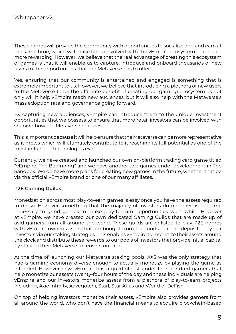These games will provide the community with opportunities to socialize and and earn at the same time, which will make being involved with the vEmpire ecosystem that much more rewarding. However, we believe that the real advantage of creating this ecosystem of games is that it will enable us to capture, introduce and onboard thousands of new users to the opportunities that the Metaverse has to offer.

Yes, ensuring that our community is entertained and engaged is something that is extremely important to us. However, we believe that introducing a plethora of new users to the Metaverse to be the ultimate benefit of creating our gaming ecosystem as not only will it help vEmpire reach new audiences, but it will also help with the Metaverse's mass adoption rate and governance going forward.

By capturing new audiences, vEmpire can introduce them to the unique investment opportunities that we possess to ensure that more retail investors can be involved with shaping how the Metaverse matures.

This is important because it will help ensure that the Metaverse can be more representative as it grows which will ultimately contribute to it reaching its full potential as one of the most influential technologies ever.

Currently, we have created and launched our own on-platform trading card game titled "vEmpire: The Beginning" and we have another two games under development in The Sandbox. We do have more plans for creating new games in the future, whether that be via the official vEmpire brand or one of our many affiliates.

#### **P2E Gaming Guilds**

Monetization across most play-to-earn games is easy once you have the assets required to do so. However something that the majority of investors do not have is the time necessary to grind games to make play-to-earn opportunities worthwhile. However at vEmpire, we have created our own dedicated Gaming Guilds that are made up of avid gamers from all around the world. These guilds are enlisted to play P2E games with vEmpire owned assets that are bought from the funds that are deposited by our investors via our staking strategies. This enables vEmpire to monetize their assets around the clock and distribute these rewards to our pools of investors that provide initial capital by staking their Metaverse tokens on our app.

At the time of launching our Metaverse staking pools, AXS was the only strategy that had a gaming economy diverse enough to actually monetize by playing the game as intended. However now, vEmpire has a guild of just under four-hundred gamers that help monetize our assets twenty-four hours of the day and these individuals are helping vEmpire and our investors monetize assets from a plethora of play-to-earn projects including, Axie Infinity, Aavegotchi, Starl, Star Atlas and World of DeFish.

On top of helping investors monetize their assets, vEmpire also provides gamers from all around the world, who don't have the financial means to acquire blockchain-based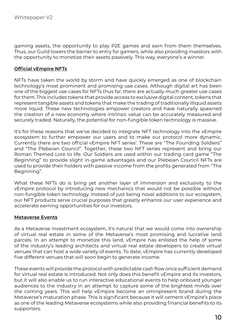gaming assets, the opportunity to play P2E games and earn from them themselves. Thus, our Guild lowers the barrier to entry for gamers, while also providing investors with the opportunity to monetize their assets passively. This way, everyone's a winner.

#### **Official vEmpire NFTs**

NFTs have taken the world by storm and have quickly emerged as one of blockchain technology's most prominent and promising use cases. Although digital art has been one of the biggest use cases for NFTs thus far, there are actually much greater use cases for them. This includes tokens that provide access to exclusive digital content, tokens that represent tangible assets and tokens that make the trading of traditionally illiquid assets more liquid. These new technologies empower creators and have naturally spawned the creation of a new economy where intrinsic value can be accurately measured and securely traded. Naturally, the potential for non-fungible token technology is massive.

It's for these reasons that we've decided to integrate NFT technology into the vEmpire ecosystem to further empower our users and to make our protocol more dynamic. Currently there are two official vEmpire NFT series'. These are "The Founding Soldiers" and "The Plebeian Council". Together, these two NFT series represent and bring our Roman Themed Lore to life. Our Soldiers are used within our trading card game "The Beginning" to provide slight in-game advantages and our Plebeian Council NFTs are used to provide their holders with passive income from the profits generated from "The Beginning".

What these NFTs do is bring yet another layer of immersion and exclusivity to the vEmpire protocol by introducing new mechanics that would not be possible without non-fungible token technology. Instead of just being noval additions to our ecosystem, our NFT products serve crucial purposes that greatly enhance our user experience and accelerate earning opportunities for our investors.

#### **Metaverse Events**

As a Metaverse investment ecosystem, it's natural that we would come into ownership of virtual real estate in some of the Metaverse's most promising and lucrative land parcels. In an attempt to monetize this land, vEmpire has enlisted the help of some of the industry's leading architects and virtual real estate developers to create virtual venues that can host a wide variety of events. To date, vEmpire has currently developed five different venues that will soon begin to generate income.

These events will provide the protocol with predictable cash flow once sufficient demand for virtual real estate is introduced. Not only does this benefit vEmpire and its investors, but it will also enable us to run interactive educational events to help onboard younger audiences to the industry in an attempt to capture some of the brightest minds over the coming years. This will help vEmpire become an omnipresent brand during the Metaverse's maturation phase. This is significant because it will cement vEmpire's place as one of the leading Metaverse ecosystems while also providing financial benefits to its supporters.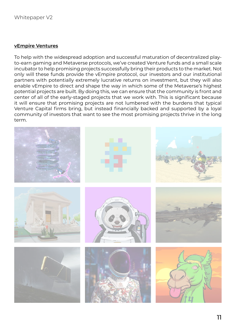#### **vEmpire Ventures**

To help with the widespread adoption and successful maturation of decentralized playto-earn gaming and Metaverse protocols, we've created Venture funds and a small scale incubator to help promising projects successfully bring their products to the market. Not only will these funds provide the vEmpire protocol, our investors and our institutional partners with potentially extremely lucrative returns on investment, but they will also enable vEmpire to direct and shape the way in which some of the Metaverse's highest potential projects are built. By doing this, we can ensure that the community is front and center of all of the early-staged projects that we work with. This is significant because it will ensure that promising projects are not lumbered with the burdens that typical Venture Capital firms bring, but instead financially backed and supported by a loyal community of investors that want to see the most promising projects thrive in the long term.

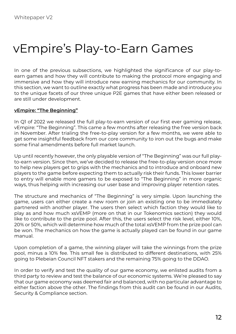# vEmpire's Play-to-Earn Games

In one of the previous subsections, we highlighted the significance of our play-toearn games and how they will contribute to making the protocol more engaging and immersive and how they will introduce new earning mechanics for our community. In this section, we want to outline exactly what progress has been made and introduce you to the unique facets of our three unique P2E games that have either been released or are still under development.

#### **vEmpire: "The Beginning"**

In Q1 of 2022 we released the full play-to-earn version of our first ever gaming release, vEmpire: "The Beginning". This came a few months after releasing the free version back in November. After trialing the free-to-play version for a few months, we were able to get some insightful feedback from our core community to iron out the bugs and make some final amendments before full market launch.

Up until recently however, the only playable version of "The Beginning" was our full playto-earn version. Since then, we've decided to release the free-to-play version once more to help new players get to grips with the mechanics and to introduce and onboard new players to the game before expecting them to actually risk their funds. This lower barrier to entry will enable more gamers to be exposed to "The Beginning" in more organic ways, thus helping with increasing our user base and improving player retention rates.

The structure and mechanics of "The Beginning" is very simple. Upon launching the game, users can either create a new room or join an existing one to be immediately partnered with another player. The users then select which faction they would like to play as and how much xsVEMP (more on that in our Tokenomics section) they would like to contribute to the prize pool. After this, the users select the risk level, either 10%, 20% or 50%, which will determine how much of the total xsVEMP from the prize pool can be won. The mechanics on how the game is actually played can be found in our game manual.

Upon completion of a game, the winning player will take the winnings from the prize pool, minus a 10% fee. This small fee is distributed to different destinations, with 25% going to Plebeian Council NFT stakers and the remaining 75% going to the DDAO.

In order to verify and test the quality of our game economy, we enlisted audits from a third party to review and test the balance of our economic systems. We're pleased to say that our game economy was deemed fair and balanced, with no particular advantage to either faction above the other. The findings from this audit can be found in our Audits, Security & Compliance section.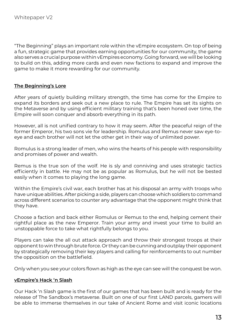"The Beginning" plays an important role within the vEmpire ecosystem. On top of being a fun, strategic game that provides earning opportunities for our community, the game also serves a crucial purpose within vEmpires economy. Going forward, we will be looking to build on this, adding more cards and even new factions to expand and improve the game to make it more rewarding for our community.

#### **The Beginning's Lore**

After years of quietly building military strength, the time has come for the Empire to expand its borders and seek out a new place to rule. The Empire has set its sights on the Metaverse and by using efficient military training that's been honed over time, the Empire will soon conquer and absorb everything in its path.

However, all is not unified contrary to how it may seem. After the peaceful reign of the former Emperor, his two sons vie for leadership. Romulus and Remus never saw eye-toeye and each brother will not let the other get in their way of unlimited power.

Romulus is a strong leader of men, who wins the hearts of his people with responsibility and promises of power and wealth.

Remus is the true son of the wolf. He is sly and conniving and uses strategic tactics efficiently in battle. He may not be as popular as Romulus, but he will not be bested easily when it comes to playing the long game.

Within the Empire's civil war, each brother has at his disposal an army with troops who have unique abilities. After picking a side, players can choose which soldiers to command across different scenarios to counter any advantage that the opponent might think that they have.

Choose a faction and back either Romulus or Remus to the end, helping cement their rightful place as the new Emperor. Train your army and invest your time to build an unstoppable force to take what rightfully belongs to you.

Players can take the all out attack approach and throw their strongest troops at their opponent to win through brute force. Or they can be cunning and outplay their opponent by strategically removing their key players and calling for reinforcements to out number the opposition on the battlefield.

Only when you see your colors flown as high as the eye can see will the conquest be won.

#### **vEmpire's Hack 'n Slash**

Our Hack 'n Slash game is the first of our games that has been built and is ready for the release of The Sandbox's metaverse. Built on one of our first LAND parcels, gamers will be able to immerse themselves in our take of Ancient Rome and visit iconic locations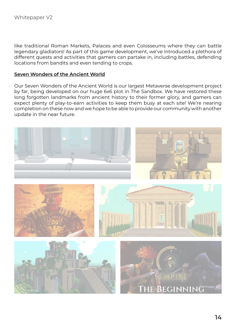like traditional Roman Markets, Palaces and even Colosseums where they can battle legendary gladiators! As part of this game development, we've introduced a plethora of different quests and activities that gamers can partake in, including battles, defending locations from bandits and even tending to crops.

#### **Seven Wonders of the Ancient World**

Our Seven Wonders of the Ancient World is our largest Metaverse development project by far, being developed on our huge 6x6 plot in The Sandbox. We have restored these long forgotten landmarks from ancient history to their former glory, and gamers can expect plenty of play-to-earn activities to keep them busy at each site! We're nearing completion on these now and we hope to be able to provide our community with another update in the near future.

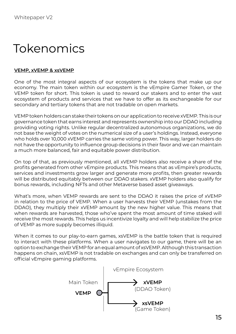# Tokenomics

#### **VEMP, xVEMP & xsVEMP**

One of the most integral aspects of our ecosystem is the tokens that make up our economy. The main token within our ecosystem is the vEmpire Gamer Token, or the VEMP token for short. This token is used to reward our stakers and to enter the vast ecosystem of products and services that we have to offer as its exchangeable for our secondary and tertiary tokens that are not tradable on open markets.

VEMP token holders can stake their tokens on our application to receive xVEMP. This is our governance token that earns interest and represents ownership into our DDAO including providing voting rights. Unlike regular decentralized autonomous organizations, we do not base the weight of votes on the numerical size of a user's holdings. Instead, everyone who holds over 10,000 xVEMP carries the same voting power. This way, larger holders do not have the opportunity to influence group decisions in their favor and we can maintain a much more balanced, fair and equitable power distribution.

On top of that, as previously mentioned, all xVEMP holders also receive a share of the profits generated from other vEmpire products. This means that as vEmpire's products, services and investments grow larger and generate more profits, then greater rewards will be distributed equitably between our DDAO stakers. xVEMP holders also qualify for bonus rewards, including NFTs and other Metaverse based asset giveaways.

What's more, when VEMP rewards are sent to the DDAO it raises the price of xVEMP in relation to the price of VEMP. When a user harvests their VEMP (unstakes from the DDAO), they multiply their xVEMP amount by the new higher value. This means that when rewards are harvested, those who've spent the most amount of time staked will receive the most rewards. This helps us incentivize loyalty and will help stabilize the price of VEMP as more supply becomes illiquid.

When it comes to our play-to-earn games, xsVEMP is the battle token that is required to interact with these platforms. When a user navigates to our game, there will be an option to exchange their VEMP for an equal amount of xsVEMP. Although this transaction happens on chain, xsVEMP is not tradable on exchanges and can only be transferred on official vEmpire gaming platforms.

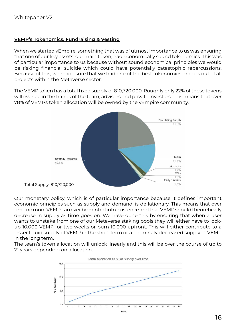#### **VEMP's Tokenomics, Fundraising & Vesting**

When we started vEmpire, something that was of utmost importance to us was ensuring that one of our key assets, our main token, had economically sound tokenomics. This was of particular importance to us because without sound economical principles we would be risking financial suicide which could have potentially catastophic repercussions. Because of this, we made sure that we had one of the best tokenomics models out of all projects within the Metaverse sector.

The VEMP token has a total fixed supply of 810,720,000. Roughly only 22% of these tokens will ever be in the hands of the team, advisors and private investors. This means that over 78% of VEMPs token allocation will be owned by the vEmpire community.



Our monetary policy, which is of particular importance because it defines important economic principles such as supply and demand, is deflationary. This means that over time no more VEMP can ever be minted into existence and that VEMP should theoretically decrease in supply as time goes on. We have done this by ensuring that when a user wants to unstake from one of our Metaverse staking pools they will either have to lockup 10,000 VEMP for two weeks or burn 10,000 upfront. This will either contribute to a lesser liquid supply of VEMP in the short term or a perminaly decreased supply of VEMP in the long term.

The team's token allocation will unlock linearly and this will be over the course of up to 21 years depending on allocation.

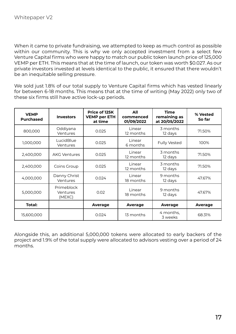When it came to private fundraising, we attempted to keep as much control as possible within our community. This is why we only accepted investment from a select few Venture Capital firms who were happy to match our public token launch price of 125,000 VEMP per ETH. This means that at the time of launch, our token was worth \$0.027. As our private investors invested at levels identical to the public, it ensured that there wouldn't be an inequitable selling pressure.

We sold just 1.8% of our total supply to Venture Capital firms which has vested linearly for between 6-18 months. This means that at the time of writing (May 2022) only two of these six firms still have active lock-up periods.

| <b>VEMP</b><br><b>Purchased</b> | <b>Investors</b>                 | Price of 125K<br><b>VEMP per ETH</b><br>at time | All<br>commenced<br>01/09/2022 | <b>Time</b><br>remaining as<br>at 20/05/2022 | % Vested<br>So far |
|---------------------------------|----------------------------------|-------------------------------------------------|--------------------------------|----------------------------------------------|--------------------|
| 800,000                         | Oddiyana<br>Ventures             | 0.025                                           | Linear<br>12 months            | 3 months<br>12 days                          | 71.50%             |
| 1,000,000                       | LucidBlue<br>Ventures            | 0.025                                           | Linear<br>6 months             | <b>Fully Vested</b>                          | 100%               |
| 2,400,000                       | <b>AKG Ventures</b>              | 0.025                                           | Linear<br>12 months            | 3 months<br>12 days                          | 71.50%             |
| 2,400,000                       | Coins Group                      | 0.025                                           | Linear<br>12 months            | 3 months<br>12 days                          | 71.50%             |
| 4,000,000                       | Danny Christ<br>Ventures         | 0.024                                           | Linear<br>18 months            | 9 months<br>12 days                          | 47.67%             |
| 5,000,000                       | Primeblock<br>Ventures<br>(MEXC) | 0.02                                            | Linear<br>18 months            | 9 months<br>12 days                          | 47.67%             |
| Total:                          |                                  | Average                                         | Average                        | Average                                      | Average            |
| 15,600,000                      |                                  | 0.024                                           | 13 months                      | 4 months,<br>3 weeks                         | 68.31%             |

Alongside this, an additional 5,000,000 tokens were allocated to early backers of the project and 1.9% of the total supply were allocated to advisors vesting over a period of 24 months.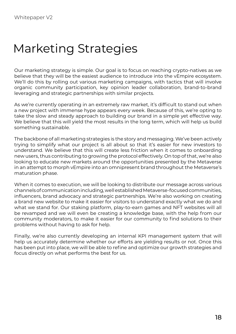## Marketing Strategies

Our marketing strategy is simple. Our goal is to focus on reaching crypto-natives as we believe that they will be the easiest audience to introduce into the vEmpire ecosystem. We'll do this by rolling out various marketing campaigns, with tactics that will involve organic community participation, key opinion leader collaboration, brand-to-brand leveraging and strategic partnerships with similar projects.

As we're currently operating in an extremely raw market, it's difficult to stand out when a new project with immense hype appears every week. Because of this, we're opting to take the slow and steady approach to building our brand in a simple yet effective way. We believe that this will yield the most results in the long term, which will help us build something sustainable.

The backbone of all marketing strategies is the story and messaging. We've been actively trying to simplify what our project is all about so that it's easier for new investors to understand. We believe that this will create less friction when it comes to onboarding new users, thus contributing to growing the protocol effectively. On top of that, we're also looking to educate new markets around the opportunities presented by the Metaverse in an attempt to morph vEmpire into an omnipresent brand throughout the Metaverse's maturation phase.

When it comes to execution, we will be looking to distribute our message across various channels of communication including, well established Metaverse-focused communities, influencers, brand advocacy and strategic partnerships. We're also working on creating a brand new website to make it easier for visitors to understand exactly what we do and what we stand for. Our staking platform, play-to-earn games and NFT websites will all be revamped and we will even be creating a knowledge base, with the help from our community moderators, to make it easier for our community to find solutions to their problems without having to ask for help.

Finally, we're also currently developing an internal KPI management system that will help us accurately determine whether our efforts are yielding results or not. Once this has been put into place, we will be able to refine and optimize our growth strategies and focus directly on what performs the best for us.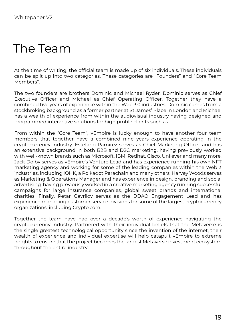### The Team

At the time of writing, the official team is made up of six individuals. These individuals can be split up into two categories. These categories are "Founders" and "Core Team Members".

The two founders are brothers Dominic and Michael Ryder. Dominic serves as Chief Executive Officer and Michael as Chief Operating Officer. Together they have a combined five years of experience within the Web 3.0 industries. Dominic comes from a stockbroking background as a former partner at St James' Place in London and Michael has a wealth of experience from within the audiovisual industry having designed and programmed interactive solutions for high profile clients such as …

From within the "Core Team", vEmpire is lucky enough to have another four team members that together have a combined nine years experience operating in the cryptocurrency industry. Estefano Ramirez serves as Chief Marketing Officer and has an extensive background in both B2B and D2C marketing, having previously worked with well-known brands such as Microsoft, IBM, Redhat, Cisco, Unilever and many more. Jack Dolby serves as vEmpire's Venture Lead and has experience running his own NFT marketing agency and working for some of the leading companies within the Web 3 industries, including IOHK, a Polkadot Parachain and many others. Harvey Woods serves as Marketing & Operations Manager and has experience in design, branding and social advertising having previously worked in a creative marketing agency running successful campaigns for large insurance companies, global sweet brands and international charities. Finally, Petar Gavrilov serves as the DDAO Engagement Lead and has experience managing customer service divisions for some of the largest cryptocurrency organizations, including Crypto.com.

Together the team have had over a decade's worth of experience navigating the cryptocurrency industry. Partnered with their individual beliefs that the Metaverse is the single greatest technological opportunity since the invention of the internet, their wealth of experience and individual expertise will help catapult vEmpire to extreme heights to ensure that the project becomes the largest Metaverse investment ecosystem throughout the entire industry.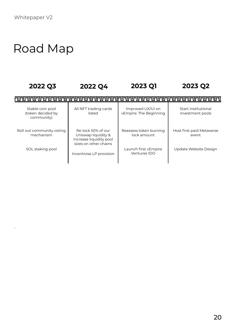.

# Road Map

| 2022 Q3                                             | 2022 Q4                                                                                       | 2023 Q1                                     | 2023 Q2                                 |
|-----------------------------------------------------|-----------------------------------------------------------------------------------------------|---------------------------------------------|-----------------------------------------|
|                                                     |                                                                                               |                                             |                                         |
| Stable coin pool<br>(token decided by<br>community) | All NFT trading cards<br>listed                                                               | Improved UX/UI on<br>vEmpire: The Beginning | Start institutional<br>investment pools |
| Roll out community voting<br>mechanism              | Re-lock 50% of our<br>Uniswap liquidity &<br>increase liquidity pool<br>sizes on other chains | Reassess token burning<br>lock amount       | Host first paid Metaverse<br>event      |
| SOL staking pool                                    | Incentivise LP provision                                                                      | Launch first vEmpire<br>Ventures IDO        | Update Website Design                   |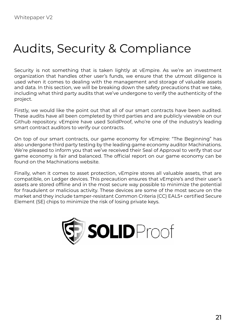# Audits, Security & Compliance

Security is not something that is taken lightly at vEmpire. As we're an investment organization that handles other user's funds, we ensure that the utmost diligence is used when it comes to dealing with the management and storage of valuable assets and data. In this section, we will be breaking down the safety precautions that we take, including what third party audits that we've undergone to verify the authenticity of the project.

Firstly, we would like the point out that all of our smart contracts have been audited. These audits have all been completed by third parties and are publicly viewable on our Github repository. vEmpire have used SolidProof, who're one of the industry's leading smart contract auditors to verify our contracts.

On top of our smart contracts, our game economy for vEmpire: "The Beginning" has also undergone third party testing by the leading game economy auditor Machinations. We're pleased to inform you that we've received their Seal of Approval to verify that our game economy is fair and balanced. The official report on our game economy can be found on the Machinations website.

Finally, when it comes to asset protection, vEmpire stores all valuable assets, that are compatible, on Ledger devices. This precaution ensures that vEmpire's and their user's assets are stored offline and in the most secure way possible to minimize the potential for fraudulent or malicious activity. These devices are some of the most secure on the market and they include tamper-resistant Common Criteria (CC) EAL5+ certified Secure Element (SE) chips to minimize the risk of losing private keys.

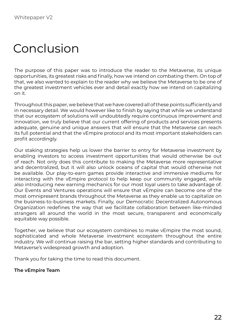# Conclusion

The purpose of this paper was to introduce the reader to the Metaverse, its unique opportunities, its greatest risks and finally, how we intend on combating them. On top of that, we also wanted to explain to the reader why we believe the Metaverse to be one of the greatest investment vehicles ever and detail exactly how we intend on capitalizing on it.

Throughout this paper, we believe that we have covered all of these points sufficiently and in necessary detail. We would however like to finish by saying that while we understand that our ecosystem of solutions will undoubtedly require continuous improvement and innovation, we truly believe that our current offering of products and services presents adequate, genuine and unique answers that will ensure that the Metaverse can reach its full potential and that the vEmpire protocol and its most important stakeholders can profit accordingly.

Our staking strategies help us lower the barrier to entry for Metaverse investment by enabling investors to access investment opportunities that would otherwise be out of reach. Not only does this contribute to making the Metaverse more representative and decentralized, but it will also unlock oceans of capital that would otherwise not be available. Our play-to-earn games provide interactive and immersive mediums for interacting with the vEmpire protocol to help keep our community engaged, while also introducing new earning mechanics for our most loyal users to take advantage of. Our Events and Ventures operations will ensure that vEmpire can become one of the most omnipresent brands throughout the Metaverse as they enable us to capitalize on the business-to-business markets. Finally, our Democratic Decentralized Autonomous Organization redefines the way that we facilitate collaboration between like-minded strangers all around the world in the most secure, transparent and economically equitable way possible.

Together, we believe that our ecosystem combines to make vEmpire the most sound, sophisticated and whole Metaverse investment ecosystem throughout the entire industry. We will continue raising the bar, setting higher standards and contributing to Metaverse's widespread growth and adoption.

Thank you for taking the time to read this document.

#### **The vEmpire Team**